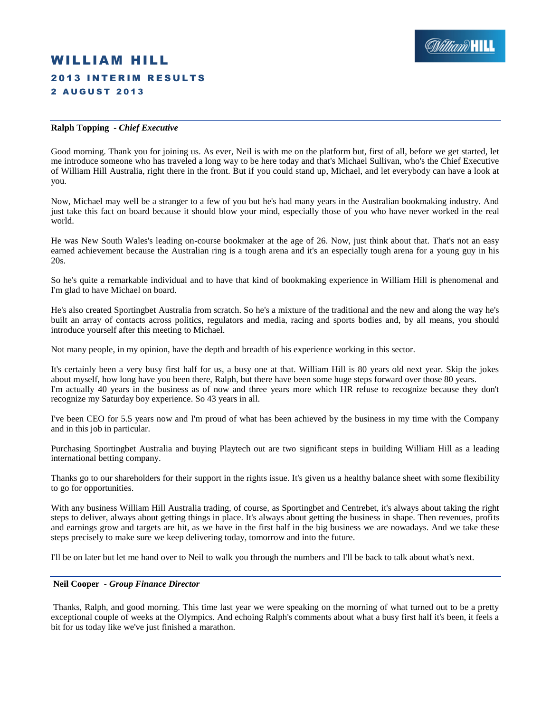# WILLIAM HILL **2013 INTERIM RESULTS** 2 A U G U S T 2 0 1 3

# **Ralph Topping** *- Chief Executive*

Good morning. Thank you for joining us. As ever, Neil is with me on the platform but, first of all, before we get started, let me introduce someone who has traveled a long way to be here today and that's Michael Sullivan, who's the Chief Executive of William Hill Australia, right there in the front. But if you could stand up, Michael, and let everybody can have a look at you.

Now, Michael may well be a stranger to a few of you but he's had many years in the Australian bookmaking industry. And just take this fact on board because it should blow your mind, especially those of you who have never worked in the real world.

He was New South Wales's leading on-course bookmaker at the age of 26. Now, just think about that. That's not an easy earned achievement because the Australian ring is a tough arena and it's an especially tough arena for a young guy in his 20s.

So he's quite a remarkable individual and to have that kind of bookmaking experience in William Hill is phenomenal and I'm glad to have Michael on board.

He's also created Sportingbet Australia from scratch. So he's a mixture of the traditional and the new and along the way he's built an array of contacts across politics, regulators and media, racing and sports bodies and, by all means, you should introduce yourself after this meeting to Michael.

Not many people, in my opinion, have the depth and breadth of his experience working in this sector.

It's certainly been a very busy first half for us, a busy one at that. William Hill is 80 years old next year. Skip the jokes about myself, how long have you been there, Ralph, but there have been some huge steps forward over those 80 years. I'm actually 40 years in the business as of now and three years more which HR refuse to recognize because they don't recognize my Saturday boy experience. So 43 years in all.

I've been CEO for 5.5 years now and I'm proud of what has been achieved by the business in my time with the Company and in this job in particular.

Purchasing Sportingbet Australia and buying Playtech out are two significant steps in building William Hill as a leading international betting company.

Thanks go to our shareholders for their support in the rights issue. It's given us a healthy balance sheet with some flexibility to go for opportunities.

With any business William Hill Australia trading, of course, as Sportingbet and Centrebet, it's always about taking the right steps to deliver, always about getting things in place. It's always about getting the business in shape. Then revenues, profits and earnings grow and targets are hit, as we have in the first half in the big business we are nowadays. And we take these steps precisely to make sure we keep delivering today, tomorrow and into the future.

I'll be on later but let me hand over to Neil to walk you through the numbers and I'll be back to talk about what's next.

#### **Neil Cooper** *- Group Finance Director*

Thanks, Ralph, and good morning. This time last year we were speaking on the morning of what turned out to be a pretty exceptional couple of weeks at the Olympics. And echoing Ralph's comments about what a busy first half it's been, it feels a bit for us today like we've just finished a marathon.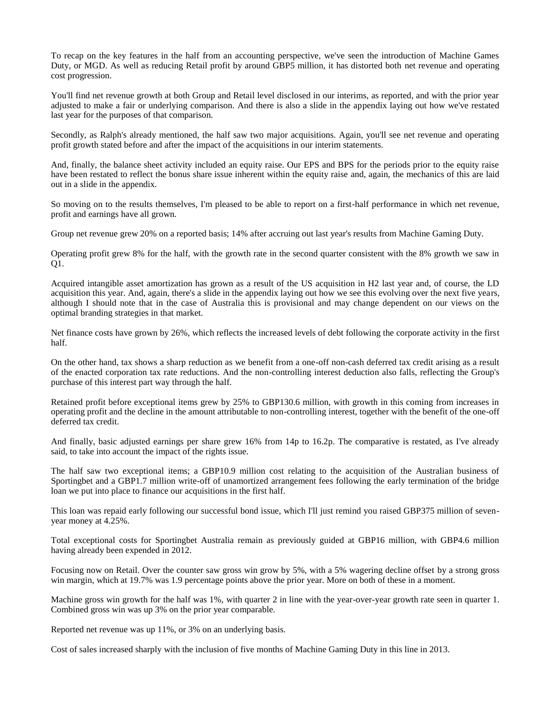To recap on the key features in the half from an accounting perspective, we've seen the introduction of Machine Games Duty, or MGD. As well as reducing Retail profit by around GBP5 million, it has distorted both net revenue and operating cost progression.

You'll find net revenue growth at both Group and Retail level disclosed in our interims, as reported, and with the prior year adjusted to make a fair or underlying comparison. And there is also a slide in the appendix laying out how we've restated last year for the purposes of that comparison.

Secondly, as Ralph's already mentioned, the half saw two major acquisitions. Again, you'll see net revenue and operating profit growth stated before and after the impact of the acquisitions in our interim statements.

And, finally, the balance sheet activity included an equity raise. Our EPS and BPS for the periods prior to the equity raise have been restated to reflect the bonus share issue inherent within the equity raise and, again, the mechanics of this are laid out in a slide in the appendix.

So moving on to the results themselves, I'm pleased to be able to report on a first-half performance in which net revenue, profit and earnings have all grown.

Group net revenue grew 20% on a reported basis; 14% after accruing out last year's results from Machine Gaming Duty.

Operating profit grew 8% for the half, with the growth rate in the second quarter consistent with the 8% growth we saw in Q1.

Acquired intangible asset amortization has grown as a result of the US acquisition in H2 last year and, of course, the LD acquisition this year. And, again, there's a slide in the appendix laying out how we see this evolving over the next five years, although I should note that in the case of Australia this is provisional and may change dependent on our views on the optimal branding strategies in that market.

Net finance costs have grown by 26%, which reflects the increased levels of debt following the corporate activity in the first half.

On the other hand, tax shows a sharp reduction as we benefit from a one-off non-cash deferred tax credit arising as a result of the enacted corporation tax rate reductions. And the non-controlling interest deduction also falls, reflecting the Group's purchase of this interest part way through the half.

Retained profit before exceptional items grew by 25% to GBP130.6 million, with growth in this coming from increases in operating profit and the decline in the amount attributable to non-controlling interest, together with the benefit of the one-off deferred tax credit.

And finally, basic adjusted earnings per share grew 16% from 14p to 16.2p. The comparative is restated, as I've already said, to take into account the impact of the rights issue.

The half saw two exceptional items; a GBP10.9 million cost relating to the acquisition of the Australian business of Sportingbet and a GBP1.7 million write-off of unamortized arrangement fees following the early termination of the bridge loan we put into place to finance our acquisitions in the first half.

This loan was repaid early following our successful bond issue, which I'll just remind you raised GBP375 million of sevenyear money at 4.25%.

Total exceptional costs for Sportingbet Australia remain as previously guided at GBP16 million, with GBP4.6 million having already been expended in 2012.

Focusing now on Retail. Over the counter saw gross win grow by 5%, with a 5% wagering decline offset by a strong gross win margin, which at 19.7% was 1.9 percentage points above the prior year. More on both of these in a moment.

Machine gross win growth for the half was 1%, with quarter 2 in line with the year-over-year growth rate seen in quarter 1. Combined gross win was up 3% on the prior year comparable.

Reported net revenue was up 11%, or 3% on an underlying basis.

Cost of sales increased sharply with the inclusion of five months of Machine Gaming Duty in this line in 2013.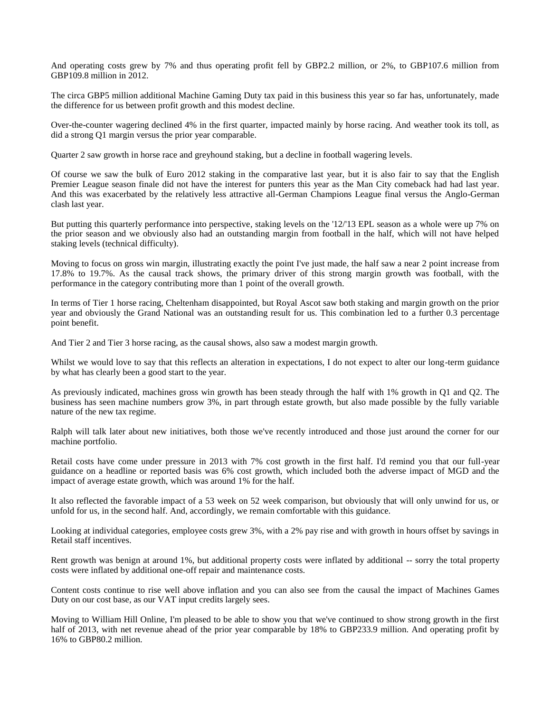And operating costs grew by 7% and thus operating profit fell by GBP2.2 million, or 2%, to GBP107.6 million from GBP109.8 million in 2012.

The circa GBP5 million additional Machine Gaming Duty tax paid in this business this year so far has, unfortunately, made the difference for us between profit growth and this modest decline.

Over-the-counter wagering declined 4% in the first quarter, impacted mainly by horse racing. And weather took its toll, as did a strong Q1 margin versus the prior year comparable.

Quarter 2 saw growth in horse race and greyhound staking, but a decline in football wagering levels.

Of course we saw the bulk of Euro 2012 staking in the comparative last year, but it is also fair to say that the English Premier League season finale did not have the interest for punters this year as the Man City comeback had had last year. And this was exacerbated by the relatively less attractive all-German Champions League final versus the Anglo-German clash last year.

But putting this quarterly performance into perspective, staking levels on the '12/'13 EPL season as a whole were up 7% on the prior season and we obviously also had an outstanding margin from football in the half, which will not have helped staking levels (technical difficulty).

Moving to focus on gross win margin, illustrating exactly the point I've just made, the half saw a near 2 point increase from 17.8% to 19.7%. As the causal track shows, the primary driver of this strong margin growth was football, with the performance in the category contributing more than 1 point of the overall growth.

In terms of Tier 1 horse racing, Cheltenham disappointed, but Royal Ascot saw both staking and margin growth on the prior year and obviously the Grand National was an outstanding result for us. This combination led to a further 0.3 percentage point benefit.

And Tier 2 and Tier 3 horse racing, as the causal shows, also saw a modest margin growth.

Whilst we would love to say that this reflects an alteration in expectations, I do not expect to alter our long-term guidance by what has clearly been a good start to the year.

As previously indicated, machines gross win growth has been steady through the half with 1% growth in Q1 and Q2. The business has seen machine numbers grow 3%, in part through estate growth, but also made possible by the fully variable nature of the new tax regime.

Ralph will talk later about new initiatives, both those we've recently introduced and those just around the corner for our machine portfolio.

Retail costs have come under pressure in 2013 with 7% cost growth in the first half. I'd remind you that our full-year guidance on a headline or reported basis was 6% cost growth, which included both the adverse impact of MGD and the impact of average estate growth, which was around 1% for the half.

It also reflected the favorable impact of a 53 week on 52 week comparison, but obviously that will only unwind for us, or unfold for us, in the second half. And, accordingly, we remain comfortable with this guidance.

Looking at individual categories, employee costs grew 3%, with a 2% pay rise and with growth in hours offset by savings in Retail staff incentives.

Rent growth was benign at around 1%, but additional property costs were inflated by additional -- sorry the total property costs were inflated by additional one-off repair and maintenance costs.

Content costs continue to rise well above inflation and you can also see from the causal the impact of Machines Games Duty on our cost base, as our VAT input credits largely sees.

Moving to William Hill Online, I'm pleased to be able to show you that we've continued to show strong growth in the first half of 2013, with net revenue ahead of the prior year comparable by 18% to GBP233.9 million. And operating profit by 16% to GBP80.2 million.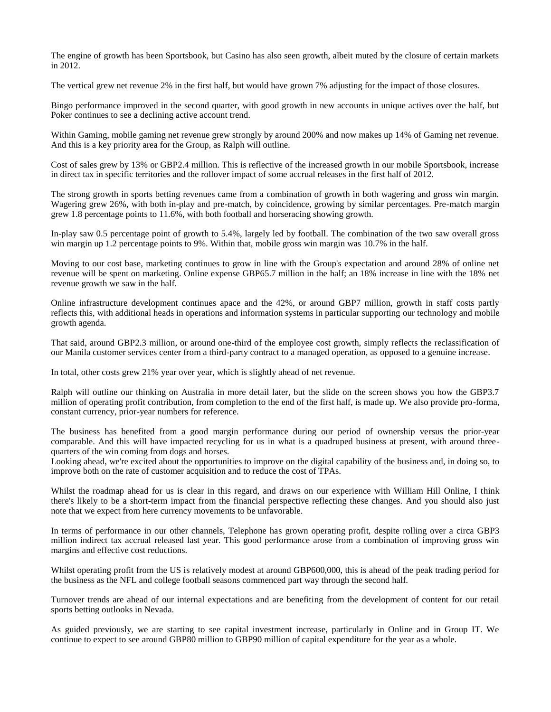The engine of growth has been Sportsbook, but Casino has also seen growth, albeit muted by the closure of certain markets in 2012.

The vertical grew net revenue 2% in the first half, but would have grown 7% adjusting for the impact of those closures.

Bingo performance improved in the second quarter, with good growth in new accounts in unique actives over the half, but Poker continues to see a declining active account trend.

Within Gaming, mobile gaming net revenue grew strongly by around 200% and now makes up 14% of Gaming net revenue. And this is a key priority area for the Group, as Ralph will outline.

Cost of sales grew by 13% or GBP2.4 million. This is reflective of the increased growth in our mobile Sportsbook, increase in direct tax in specific territories and the rollover impact of some accrual releases in the first half of 2012.

The strong growth in sports betting revenues came from a combination of growth in both wagering and gross win margin. Wagering grew 26%, with both in-play and pre-match, by coincidence, growing by similar percentages. Pre-match margin grew 1.8 percentage points to 11.6%, with both football and horseracing showing growth.

In-play saw 0.5 percentage point of growth to 5.4%, largely led by football. The combination of the two saw overall gross win margin up 1.2 percentage points to 9%. Within that, mobile gross win margin was 10.7% in the half.

Moving to our cost base, marketing continues to grow in line with the Group's expectation and around 28% of online net revenue will be spent on marketing. Online expense GBP65.7 million in the half; an 18% increase in line with the 18% net revenue growth we saw in the half.

Online infrastructure development continues apace and the 42%, or around GBP7 million, growth in staff costs partly reflects this, with additional heads in operations and information systems in particular supporting our technology and mobile growth agenda.

That said, around GBP2.3 million, or around one-third of the employee cost growth, simply reflects the reclassification of our Manila customer services center from a third-party contract to a managed operation, as opposed to a genuine increase.

In total, other costs grew 21% year over year, which is slightly ahead of net revenue.

Ralph will outline our thinking on Australia in more detail later, but the slide on the screen shows you how the GBP3.7 million of operating profit contribution, from completion to the end of the first half, is made up. We also provide pro-forma, constant currency, prior-year numbers for reference.

The business has benefited from a good margin performance during our period of ownership versus the prior-year comparable. And this will have impacted recycling for us in what is a quadruped business at present, with around threequarters of the win coming from dogs and horses.

Looking ahead, we're excited about the opportunities to improve on the digital capability of the business and, in doing so, to improve both on the rate of customer acquisition and to reduce the cost of TPAs.

Whilst the roadmap ahead for us is clear in this regard, and draws on our experience with William Hill Online, I think there's likely to be a short-term impact from the financial perspective reflecting these changes. And you should also just note that we expect from here currency movements to be unfavorable.

In terms of performance in our other channels, Telephone has grown operating profit, despite rolling over a circa GBP3 million indirect tax accrual released last year. This good performance arose from a combination of improving gross win margins and effective cost reductions.

Whilst operating profit from the US is relatively modest at around GBP600,000, this is ahead of the peak trading period for the business as the NFL and college football seasons commenced part way through the second half.

Turnover trends are ahead of our internal expectations and are benefiting from the development of content for our retail sports betting outlooks in Nevada.

As guided previously, we are starting to see capital investment increase, particularly in Online and in Group IT. We continue to expect to see around GBP80 million to GBP90 million of capital expenditure for the year as a whole.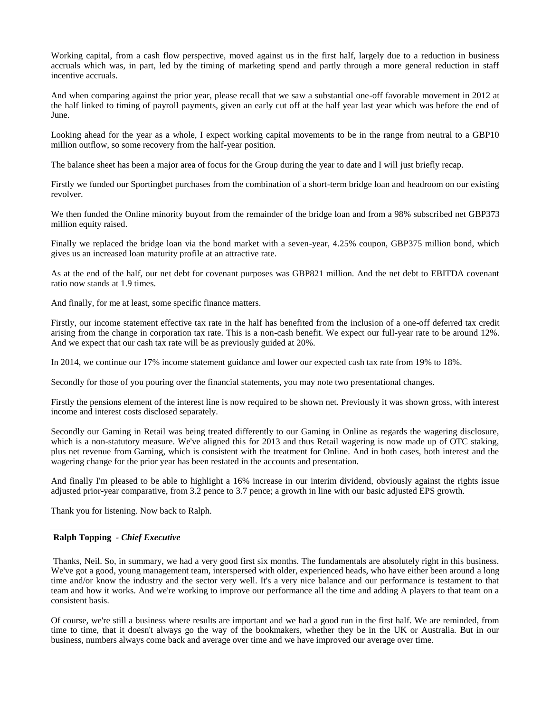Working capital, from a cash flow perspective, moved against us in the first half, largely due to a reduction in business accruals which was, in part, led by the timing of marketing spend and partly through a more general reduction in staff incentive accruals.

And when comparing against the prior year, please recall that we saw a substantial one-off favorable movement in 2012 at the half linked to timing of payroll payments, given an early cut off at the half year last year which was before the end of June.

Looking ahead for the year as a whole, I expect working capital movements to be in the range from neutral to a GBP10 million outflow, so some recovery from the half-year position.

The balance sheet has been a major area of focus for the Group during the year to date and I will just briefly recap.

Firstly we funded our Sportingbet purchases from the combination of a short-term bridge loan and headroom on our existing revolver.

We then funded the Online minority buyout from the remainder of the bridge loan and from a 98% subscribed net GBP373 million equity raised.

Finally we replaced the bridge loan via the bond market with a seven-year, 4.25% coupon, GBP375 million bond, which gives us an increased loan maturity profile at an attractive rate.

As at the end of the half, our net debt for covenant purposes was GBP821 million. And the net debt to EBITDA covenant ratio now stands at 1.9 times.

And finally, for me at least, some specific finance matters.

Firstly, our income statement effective tax rate in the half has benefited from the inclusion of a one-off deferred tax credit arising from the change in corporation tax rate. This is a non-cash benefit. We expect our full-year rate to be around 12%. And we expect that our cash tax rate will be as previously guided at 20%.

In 2014, we continue our 17% income statement guidance and lower our expected cash tax rate from 19% to 18%.

Secondly for those of you pouring over the financial statements, you may note two presentational changes.

Firstly the pensions element of the interest line is now required to be shown net. Previously it was shown gross, with interest income and interest costs disclosed separately.

Secondly our Gaming in Retail was being treated differently to our Gaming in Online as regards the wagering disclosure, which is a non-statutory measure. We've aligned this for 2013 and thus Retail wagering is now made up of OTC staking, plus net revenue from Gaming, which is consistent with the treatment for Online. And in both cases, both interest and the wagering change for the prior year has been restated in the accounts and presentation.

And finally I'm pleased to be able to highlight a 16% increase in our interim dividend, obviously against the rights issue adjusted prior-year comparative, from 3.2 pence to 3.7 pence; a growth in line with our basic adjusted EPS growth.

Thank you for listening. Now back to Ralph.

### **Ralph Topping** *- Chief Executive*

Thanks, Neil. So, in summary, we had a very good first six months. The fundamentals are absolutely right in this business. We've got a good, young management team, interspersed with older, experienced heads, who have either been around a long time and/or know the industry and the sector very well. It's a very nice balance and our performance is testament to that team and how it works. And we're working to improve our performance all the time and adding A players to that team on a consistent basis.

Of course, we're still a business where results are important and we had a good run in the first half. We are reminded, from time to time, that it doesn't always go the way of the bookmakers, whether they be in the UK or Australia. But in our business, numbers always come back and average over time and we have improved our average over time.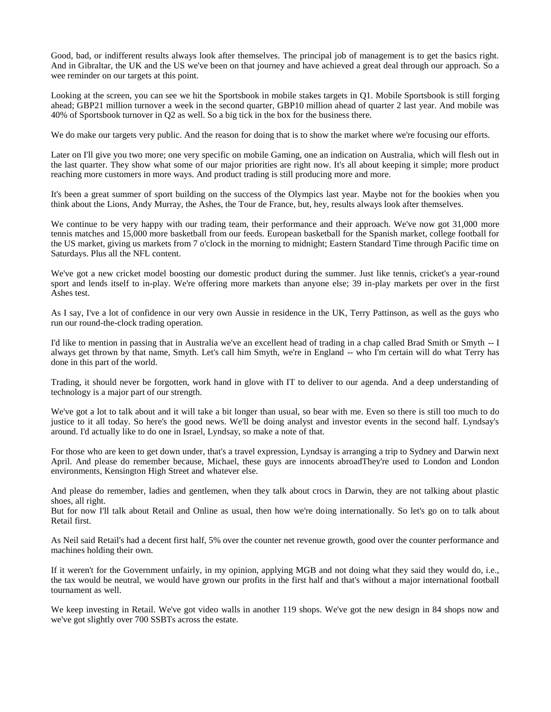Good, bad, or indifferent results always look after themselves. The principal job of management is to get the basics right. And in Gibraltar, the UK and the US we've been on that journey and have achieved a great deal through our approach. So a wee reminder on our targets at this point.

Looking at the screen, you can see we hit the Sportsbook in mobile stakes targets in Q1. Mobile Sportsbook is still forging ahead; GBP21 million turnover a week in the second quarter, GBP10 million ahead of quarter 2 last year. And mobile was 40% of Sportsbook turnover in Q2 as well. So a big tick in the box for the business there.

We do make our targets very public. And the reason for doing that is to show the market where we're focusing our efforts.

Later on I'll give you two more; one very specific on mobile Gaming, one an indication on Australia, which will flesh out in the last quarter. They show what some of our major priorities are right now. It's all about keeping it simple; more product reaching more customers in more ways. And product trading is still producing more and more.

It's been a great summer of sport building on the success of the Olympics last year. Maybe not for the bookies when you think about the Lions, Andy Murray, the Ashes, the Tour de France, but, hey, results always look after themselves.

We continue to be very happy with our trading team, their performance and their approach. We've now got 31,000 more tennis matches and 15,000 more basketball from our feeds. European basketball for the Spanish market, college football for the US market, giving us markets from 7 o'clock in the morning to midnight; Eastern Standard Time through Pacific time on Saturdays. Plus all the NFL content.

We've got a new cricket model boosting our domestic product during the summer. Just like tennis, cricket's a year-round sport and lends itself to in-play. We're offering more markets than anyone else; 39 in-play markets per over in the first Ashes test.

As I say, I've a lot of confidence in our very own Aussie in residence in the UK, Terry Pattinson, as well as the guys who run our round-the-clock trading operation.

I'd like to mention in passing that in Australia we've an excellent head of trading in a chap called Brad Smith or Smyth -- I always get thrown by that name, Smyth. Let's call him Smyth, we're in England -- who I'm certain will do what Terry has done in this part of the world.

Trading, it should never be forgotten, work hand in glove with IT to deliver to our agenda. And a deep understanding of technology is a major part of our strength.

We've got a lot to talk about and it will take a bit longer than usual, so bear with me. Even so there is still too much to do justice to it all today. So here's the good news. We'll be doing analyst and investor events in the second half. Lyndsay's around. I'd actually like to do one in Israel, Lyndsay, so make a note of that.

For those who are keen to get down under, that's a travel expression, Lyndsay is arranging a trip to Sydney and Darwin next April. And please do remember because, Michael, these guys are innocents abroadThey're used to London and London environments, Kensington High Street and whatever else.

And please do remember, ladies and gentlemen, when they talk about crocs in Darwin, they are not talking about plastic shoes, all right.

But for now I'll talk about Retail and Online as usual, then how we're doing internationally. So let's go on to talk about Retail first.

As Neil said Retail's had a decent first half, 5% over the counter net revenue growth, good over the counter performance and machines holding their own.

If it weren't for the Government unfairly, in my opinion, applying MGB and not doing what they said they would do, i.e., the tax would be neutral, we would have grown our profits in the first half and that's without a major international football tournament as well.

We keep investing in Retail. We've got video walls in another 119 shops. We've got the new design in 84 shops now and we've got slightly over 700 SSBTs across the estate.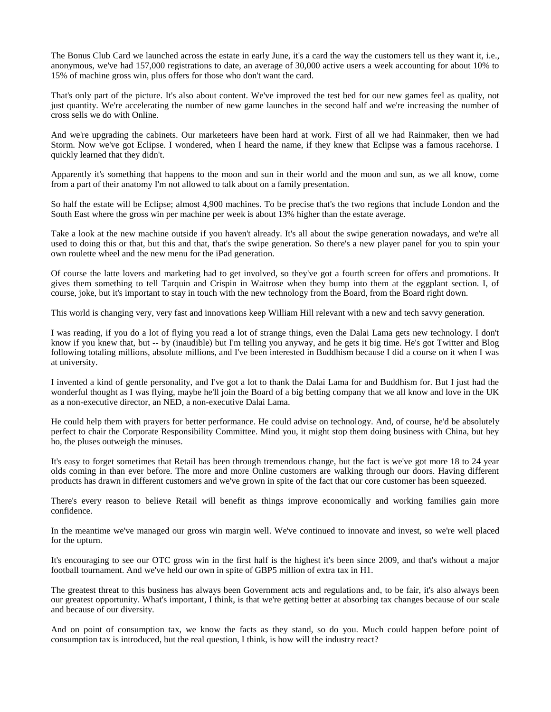The Bonus Club Card we launched across the estate in early June, it's a card the way the customers tell us they want it, i.e., anonymous, we've had 157,000 registrations to date, an average of 30,000 active users a week accounting for about 10% to 15% of machine gross win, plus offers for those who don't want the card.

That's only part of the picture. It's also about content. We've improved the test bed for our new games feel as quality, not just quantity. We're accelerating the number of new game launches in the second half and we're increasing the number of cross sells we do with Online.

And we're upgrading the cabinets. Our marketeers have been hard at work. First of all we had Rainmaker, then we had Storm. Now we've got Eclipse. I wondered, when I heard the name, if they knew that Eclipse was a famous racehorse. I quickly learned that they didn't.

Apparently it's something that happens to the moon and sun in their world and the moon and sun, as we all know, come from a part of their anatomy I'm not allowed to talk about on a family presentation.

So half the estate will be Eclipse; almost 4,900 machines. To be precise that's the two regions that include London and the South East where the gross win per machine per week is about 13% higher than the estate average.

Take a look at the new machine outside if you haven't already. It's all about the swipe generation nowadays, and we're all used to doing this or that, but this and that, that's the swipe generation. So there's a new player panel for you to spin your own roulette wheel and the new menu for the iPad generation.

Of course the latte lovers and marketing had to get involved, so they've got a fourth screen for offers and promotions. It gives them something to tell Tarquin and Crispin in Waitrose when they bump into them at the eggplant section. I, of course, joke, but it's important to stay in touch with the new technology from the Board, from the Board right down.

This world is changing very, very fast and innovations keep William Hill relevant with a new and tech savvy generation.

I was reading, if you do a lot of flying you read a lot of strange things, even the Dalai Lama gets new technology. I don't know if you knew that, but -- by (inaudible) but I'm telling you anyway, and he gets it big time. He's got Twitter and Blog following totaling millions, absolute millions, and I've been interested in Buddhism because I did a course on it when I was at university.

I invented a kind of gentle personality, and I've got a lot to thank the Dalai Lama for and Buddhism for. But I just had the wonderful thought as I was flying, maybe he'll join the Board of a big betting company that we all know and love in the UK as a non-executive director, an NED, a non-executive Dalai Lama.

He could help them with prayers for better performance. He could advise on technology. And, of course, he'd be absolutely perfect to chair the Corporate Responsibility Committee. Mind you, it might stop them doing business with China, but hey ho, the pluses outweigh the minuses.

It's easy to forget sometimes that Retail has been through tremendous change, but the fact is we've got more 18 to 24 year olds coming in than ever before. The more and more Online customers are walking through our doors. Having different products has drawn in different customers and we've grown in spite of the fact that our core customer has been squeezed.

There's every reason to believe Retail will benefit as things improve economically and working families gain more confidence.

In the meantime we've managed our gross win margin well. We've continued to innovate and invest, so we're well placed for the upturn.

It's encouraging to see our OTC gross win in the first half is the highest it's been since 2009, and that's without a major football tournament. And we've held our own in spite of GBP5 million of extra tax in H1.

The greatest threat to this business has always been Government acts and regulations and, to be fair, it's also always been our greatest opportunity. What's important, I think, is that we're getting better at absorbing tax changes because of our scale and because of our diversity.

And on point of consumption tax, we know the facts as they stand, so do you. Much could happen before point of consumption tax is introduced, but the real question, I think, is how will the industry react?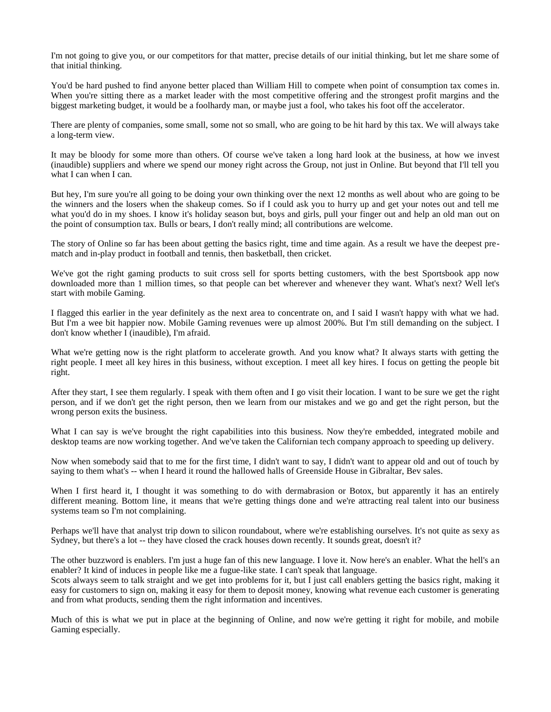I'm not going to give you, or our competitors for that matter, precise details of our initial thinking, but let me share some of that initial thinking.

You'd be hard pushed to find anyone better placed than William Hill to compete when point of consumption tax comes in. When you're sitting there as a market leader with the most competitive offering and the strongest profit margins and the biggest marketing budget, it would be a foolhardy man, or maybe just a fool, who takes his foot off the accelerator.

There are plenty of companies, some small, some not so small, who are going to be hit hard by this tax. We will always take a long-term view.

It may be bloody for some more than others. Of course we've taken a long hard look at the business, at how we invest (inaudible) suppliers and where we spend our money right across the Group, not just in Online. But beyond that I'll tell you what I can when I can.

But hey, I'm sure you're all going to be doing your own thinking over the next 12 months as well about who are going to be the winners and the losers when the shakeup comes. So if I could ask you to hurry up and get your notes out and tell me what you'd do in my shoes. I know it's holiday season but, boys and girls, pull your finger out and help an old man out on the point of consumption tax. Bulls or bears, I don't really mind; all contributions are welcome.

The story of Online so far has been about getting the basics right, time and time again. As a result we have the deepest prematch and in-play product in football and tennis, then basketball, then cricket.

We've got the right gaming products to suit cross sell for sports betting customers, with the best Sportsbook app now downloaded more than 1 million times, so that people can bet wherever and whenever they want. What's next? Well let's start with mobile Gaming.

I flagged this earlier in the year definitely as the next area to concentrate on, and I said I wasn't happy with what we had. But I'm a wee bit happier now. Mobile Gaming revenues were up almost 200%. But I'm still demanding on the subject. I don't know whether I (inaudible), I'm afraid.

What we're getting now is the right platform to accelerate growth. And you know what? It always starts with getting the right people. I meet all key hires in this business, without exception. I meet all key hires. I focus on getting the people bit right.

After they start, I see them regularly. I speak with them often and I go visit their location. I want to be sure we get the right person, and if we don't get the right person, then we learn from our mistakes and we go and get the right person, but the wrong person exits the business.

What I can say is we've brought the right capabilities into this business. Now they're embedded, integrated mobile and desktop teams are now working together. And we've taken the Californian tech company approach to speeding up delivery.

Now when somebody said that to me for the first time, I didn't want to say, I didn't want to appear old and out of touch by saying to them what's -- when I heard it round the hallowed halls of Greenside House in Gibraltar, Bev sales.

When I first heard it, I thought it was something to do with dermabrasion or Botox, but apparently it has an entirely different meaning. Bottom line, it means that we're getting things done and we're attracting real talent into our business systems team so I'm not complaining.

Perhaps we'll have that analyst trip down to silicon roundabout, where we're establishing ourselves. It's not quite as sexy as Sydney, but there's a lot -- they have closed the crack houses down recently. It sounds great, doesn't it?

The other buzzword is enablers. I'm just a huge fan of this new language. I love it. Now here's an enabler. What the hell's an enabler? It kind of induces in people like me a fugue-like state. I can't speak that language.

Scots always seem to talk straight and we get into problems for it, but I just call enablers getting the basics right, making it easy for customers to sign on, making it easy for them to deposit money, knowing what revenue each customer is generating and from what products, sending them the right information and incentives.

Much of this is what we put in place at the beginning of Online, and now we're getting it right for mobile, and mobile Gaming especially.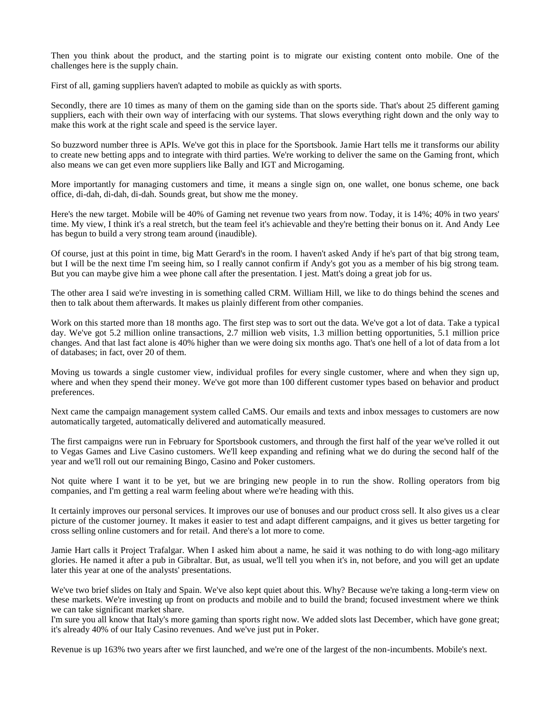Then you think about the product, and the starting point is to migrate our existing content onto mobile. One of the challenges here is the supply chain.

First of all, gaming suppliers haven't adapted to mobile as quickly as with sports.

Secondly, there are 10 times as many of them on the gaming side than on the sports side. That's about 25 different gaming suppliers, each with their own way of interfacing with our systems. That slows everything right down and the only way to make this work at the right scale and speed is the service layer.

So buzzword number three is APIs. We've got this in place for the Sportsbook. Jamie Hart tells me it transforms our ability to create new betting apps and to integrate with third parties. We're working to deliver the same on the Gaming front, which also means we can get even more suppliers like Bally and IGT and Microgaming.

More importantly for managing customers and time, it means a single sign on, one wallet, one bonus scheme, one back office, di-dah, di-dah, di-dah. Sounds great, but show me the money.

Here's the new target. Mobile will be 40% of Gaming net revenue two years from now. Today, it is 14%; 40% in two years' time. My view, I think it's a real stretch, but the team feel it's achievable and they're betting their bonus on it. And Andy Lee has begun to build a very strong team around (inaudible).

Of course, just at this point in time, big Matt Gerard's in the room. I haven't asked Andy if he's part of that big strong team, but I will be the next time I'm seeing him, so I really cannot confirm if Andy's got you as a member of his big strong team. But you can maybe give him a wee phone call after the presentation. I jest. Matt's doing a great job for us.

The other area I said we're investing in is something called CRM. William Hill, we like to do things behind the scenes and then to talk about them afterwards. It makes us plainly different from other companies.

Work on this started more than 18 months ago. The first step was to sort out the data. We've got a lot of data. Take a typical day. We've got 5.2 million online transactions, 2.7 million web visits, 1.3 million betting opportunities, 5.1 million price changes. And that last fact alone is 40% higher than we were doing six months ago. That's one hell of a lot of data from a lot of databases; in fact, over 20 of them.

Moving us towards a single customer view, individual profiles for every single customer, where and when they sign up, where and when they spend their money. We've got more than 100 different customer types based on behavior and product preferences.

Next came the campaign management system called CaMS. Our emails and texts and inbox messages to customers are now automatically targeted, automatically delivered and automatically measured.

The first campaigns were run in February for Sportsbook customers, and through the first half of the year we've rolled it out to Vegas Games and Live Casino customers. We'll keep expanding and refining what we do during the second half of the year and we'll roll out our remaining Bingo, Casino and Poker customers.

Not quite where I want it to be yet, but we are bringing new people in to run the show. Rolling operators from big companies, and I'm getting a real warm feeling about where we're heading with this.

It certainly improves our personal services. It improves our use of bonuses and our product cross sell. It also gives us a clear picture of the customer journey. It makes it easier to test and adapt different campaigns, and it gives us better targeting for cross selling online customers and for retail. And there's a lot more to come.

Jamie Hart calls it Project Trafalgar. When I asked him about a name, he said it was nothing to do with long-ago military glories. He named it after a pub in Gibraltar. But, as usual, we'll tell you when it's in, not before, and you will get an update later this year at one of the analysts' presentations.

We've two brief slides on Italy and Spain. We've also kept quiet about this. Why? Because we're taking a long-term view on these markets. We're investing up front on products and mobile and to build the brand; focused investment where we think we can take significant market share.

I'm sure you all know that Italy's more gaming than sports right now. We added slots last December, which have gone great; it's already 40% of our Italy Casino revenues. And we've just put in Poker.

Revenue is up 163% two years after we first launched, and we're one of the largest of the non-incumbents. Mobile's next.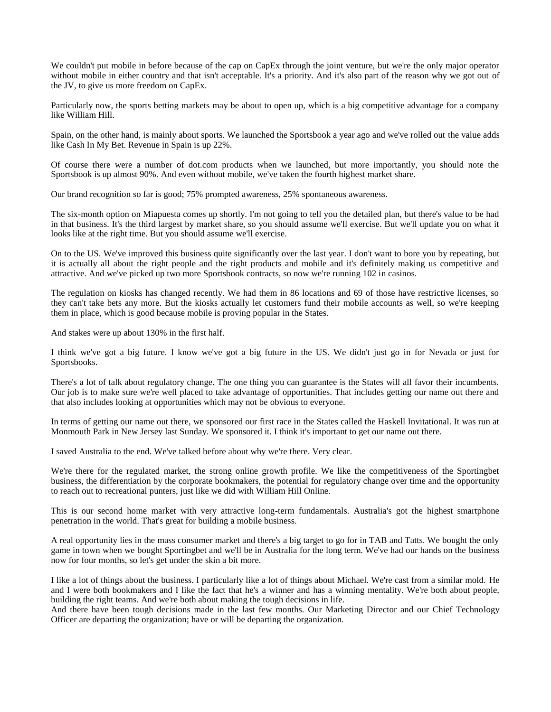We couldn't put mobile in before because of the cap on CapEx through the joint venture, but we're the only major operator without mobile in either country and that isn't acceptable. It's a priority. And it's also part of the reason why we got out of the JV, to give us more freedom on CapEx.

Particularly now, the sports betting markets may be about to open up, which is a big competitive advantage for a company like William Hill.

Spain, on the other hand, is mainly about sports. We launched the Sportsbook a year ago and we've rolled out the value adds like Cash In My Bet. Revenue in Spain is up 22%.

Of course there were a number of dot.com products when we launched, but more importantly, you should note the Sportsbook is up almost 90%. And even without mobile, we've taken the fourth highest market share.

Our brand recognition so far is good; 75% prompted awareness, 25% spontaneous awareness.

The six-month option on Miapuesta comes up shortly. I'm not going to tell you the detailed plan, but there's value to be had in that business. It's the third largest by market share, so you should assume we'll exercise. But we'll update you on what it looks like at the right time. But you should assume we'll exercise.

On to the US. We've improved this business quite significantly over the last year. I don't want to bore you by repeating, but it is actually all about the right people and the right products and mobile and it's definitely making us competitive and attractive. And we've picked up two more Sportsbook contracts, so now we're running 102 in casinos.

The regulation on kiosks has changed recently. We had them in 86 locations and 69 of those have restrictive licenses, so they can't take bets any more. But the kiosks actually let customers fund their mobile accounts as well, so we're keeping them in place, which is good because mobile is proving popular in the States.

And stakes were up about 130% in the first half.

I think we've got a big future. I know we've got a big future in the US. We didn't just go in for Nevada or just for Sportsbooks.

There's a lot of talk about regulatory change. The one thing you can guarantee is the States will all favor their incumbents. Our job is to make sure we're well placed to take advantage of opportunities. That includes getting our name out there and that also includes looking at opportunities which may not be obvious to everyone.

In terms of getting our name out there, we sponsored our first race in the States called the Haskell Invitational. It was run at Monmouth Park in New Jersey last Sunday. We sponsored it. I think it's important to get our name out there.

I saved Australia to the end. We've talked before about why we're there. Very clear.

We're there for the regulated market, the strong online growth profile. We like the competitiveness of the Sportingbet business, the differentiation by the corporate bookmakers, the potential for regulatory change over time and the opportunity to reach out to recreational punters, just like we did with William Hill Online.

This is our second home market with very attractive long-term fundamentals. Australia's got the highest smartphone penetration in the world. That's great for building a mobile business.

A real opportunity lies in the mass consumer market and there's a big target to go for in TAB and Tatts. We bought the only game in town when we bought Sportingbet and we'll be in Australia for the long term. We've had our hands on the business now for four months, so let's get under the skin a bit more.

I like a lot of things about the business. I particularly like a lot of things about Michael. We're cast from a similar mold. He and I were both bookmakers and I like the fact that he's a winner and has a winning mentality. We're both about people, building the right teams. And we're both about making the tough decisions in life.

And there have been tough decisions made in the last few months. Our Marketing Director and our Chief Technology Officer are departing the organization; have or will be departing the organization.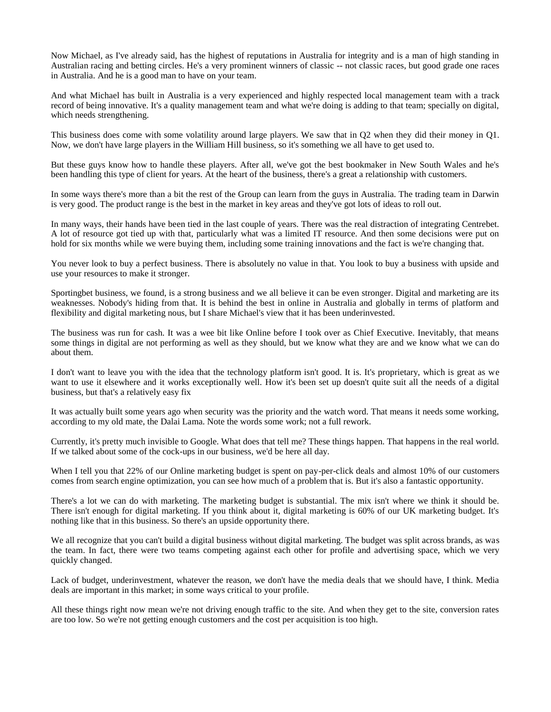Now Michael, as I've already said, has the highest of reputations in Australia for integrity and is a man of high standing in Australian racing and betting circles. He's a very prominent winners of classic -- not classic races, but good grade one races in Australia. And he is a good man to have on your team.

And what Michael has built in Australia is a very experienced and highly respected local management team with a track record of being innovative. It's a quality management team and what we're doing is adding to that team; specially on digital, which needs strengthening.

This business does come with some volatility around large players. We saw that in Q2 when they did their money in Q1. Now, we don't have large players in the William Hill business, so it's something we all have to get used to.

But these guys know how to handle these players. After all, we've got the best bookmaker in New South Wales and he's been handling this type of client for years. At the heart of the business, there's a great a relationship with customers.

In some ways there's more than a bit the rest of the Group can learn from the guys in Australia. The trading team in Darwin is very good. The product range is the best in the market in key areas and they've got lots of ideas to roll out.

In many ways, their hands have been tied in the last couple of years. There was the real distraction of integrating Centrebet. A lot of resource got tied up with that, particularly what was a limited IT resource. And then some decisions were put on hold for six months while we were buying them, including some training innovations and the fact is we're changing that.

You never look to buy a perfect business. There is absolutely no value in that. You look to buy a business with upside and use your resources to make it stronger.

Sportingbet business, we found, is a strong business and we all believe it can be even stronger. Digital and marketing are its weaknesses. Nobody's hiding from that. It is behind the best in online in Australia and globally in terms of platform and flexibility and digital marketing nous, but I share Michael's view that it has been underinvested.

The business was run for cash. It was a wee bit like Online before I took over as Chief Executive. Inevitably, that means some things in digital are not performing as well as they should, but we know what they are and we know what we can do about them.

I don't want to leave you with the idea that the technology platform isn't good. It is. It's proprietary, which is great as we want to use it elsewhere and it works exceptionally well. How it's been set up doesn't quite suit all the needs of a digital business, but that's a relatively easy fix

It was actually built some years ago when security was the priority and the watch word. That means it needs some working, according to my old mate, the Dalai Lama. Note the words some work; not a full rework.

Currently, it's pretty much invisible to Google. What does that tell me? These things happen. That happens in the real world. If we talked about some of the cock-ups in our business, we'd be here all day.

When I tell you that 22% of our Online marketing budget is spent on pay-per-click deals and almost 10% of our customers comes from search engine optimization, you can see how much of a problem that is. But it's also a fantastic opportunity.

There's a lot we can do with marketing. The marketing budget is substantial. The mix isn't where we think it should be. There isn't enough for digital marketing. If you think about it, digital marketing is 60% of our UK marketing budget. It's nothing like that in this business. So there's an upside opportunity there.

We all recognize that you can't build a digital business without digital marketing. The budget was split across brands, as was the team. In fact, there were two teams competing against each other for profile and advertising space, which we very quickly changed.

Lack of budget, underinvestment, whatever the reason, we don't have the media deals that we should have, I think. Media deals are important in this market; in some ways critical to your profile.

All these things right now mean we're not driving enough traffic to the site. And when they get to the site, conversion rates are too low. So we're not getting enough customers and the cost per acquisition is too high.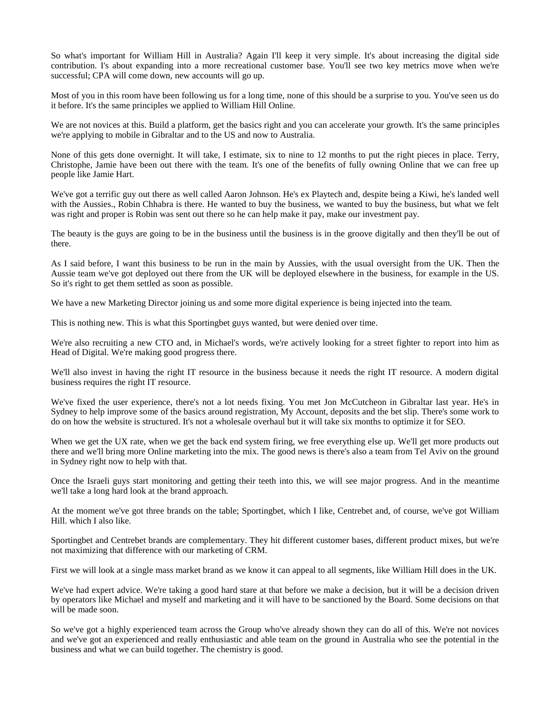So what's important for William Hill in Australia? Again I'll keep it very simple. It's about increasing the digital side contribution. I's about expanding into a more recreational customer base. You'll see two key metrics move when we're successful; CPA will come down, new accounts will go up.

Most of you in this room have been following us for a long time, none of this should be a surprise to you. You've seen us do it before. It's the same principles we applied to William Hill Online.

We are not novices at this. Build a platform, get the basics right and you can accelerate your growth. It's the same principles we're applying to mobile in Gibraltar and to the US and now to Australia.

None of this gets done overnight. It will take, I estimate, six to nine to 12 months to put the right pieces in place. Terry, Christophe, Jamie have been out there with the team. It's one of the benefits of fully owning Online that we can free up people like Jamie Hart.

We've got a terrific guy out there as well called Aaron Johnson. He's ex Playtech and, despite being a Kiwi, he's landed well with the Aussies., Robin Chhabra is there. He wanted to buy the business, we wanted to buy the business, but what we felt was right and proper is Robin was sent out there so he can help make it pay, make our investment pay.

The beauty is the guys are going to be in the business until the business is in the groove digitally and then they'll be out of there.

As I said before, I want this business to be run in the main by Aussies, with the usual oversight from the UK. Then the Aussie team we've got deployed out there from the UK will be deployed elsewhere in the business, for example in the US. So it's right to get them settled as soon as possible.

We have a new Marketing Director joining us and some more digital experience is being injected into the team.

This is nothing new. This is what this Sportingbet guys wanted, but were denied over time.

We're also recruiting a new CTO and, in Michael's words, we're actively looking for a street fighter to report into him as Head of Digital. We're making good progress there.

We'll also invest in having the right IT resource in the business because it needs the right IT resource. A modern digital business requires the right IT resource.

We've fixed the user experience, there's not a lot needs fixing. You met Jon McCutcheon in Gibraltar last year. He's in Sydney to help improve some of the basics around registration, My Account, deposits and the bet slip. There's some work to do on how the website is structured. It's not a wholesale overhaul but it will take six months to optimize it for SEO.

When we get the UX rate, when we get the back end system firing, we free everything else up. We'll get more products out there and we'll bring more Online marketing into the mix. The good news is there's also a team from Tel Aviv on the ground in Sydney right now to help with that.

Once the Israeli guys start monitoring and getting their teeth into this, we will see major progress. And in the meantime we'll take a long hard look at the brand approach.

At the moment we've got three brands on the table; Sportingbet, which I like, Centrebet and, of course, we've got William Hill. which I also like.

Sportingbet and Centrebet brands are complementary. They hit different customer bases, different product mixes, but we're not maximizing that difference with our marketing of CRM.

First we will look at a single mass market brand as we know it can appeal to all segments, like William Hill does in the UK.

We've had expert advice. We're taking a good hard stare at that before we make a decision, but it will be a decision driven by operators like Michael and myself and marketing and it will have to be sanctioned by the Board. Some decisions on that will be made soon.

So we've got a highly experienced team across the Group who've already shown they can do all of this. We're not novices and we've got an experienced and really enthusiastic and able team on the ground in Australia who see the potential in the business and what we can build together. The chemistry is good.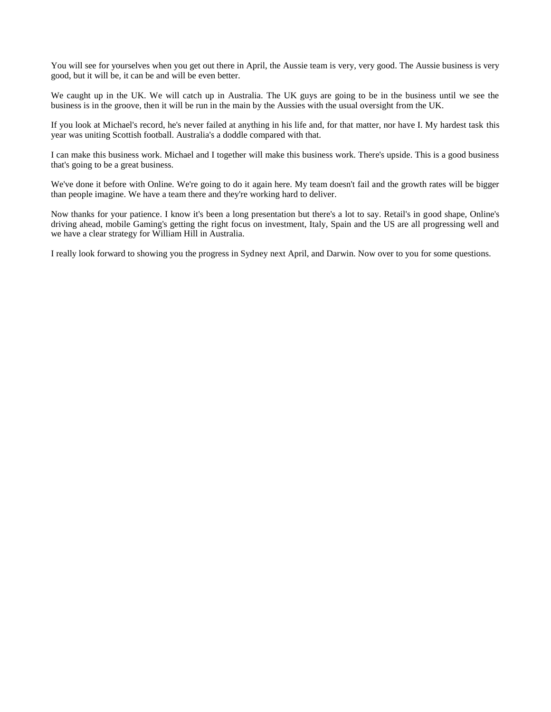You will see for yourselves when you get out there in April, the Aussie team is very, very good. The Aussie business is very good, but it will be, it can be and will be even better.

We caught up in the UK. We will catch up in Australia. The UK guys are going to be in the business until we see the business is in the groove, then it will be run in the main by the Aussies with the usual oversight from the UK.

If you look at Michael's record, he's never failed at anything in his life and, for that matter, nor have I. My hardest task this year was uniting Scottish football. Australia's a doddle compared with that.

I can make this business work. Michael and I together will make this business work. There's upside. This is a good business that's going to be a great business.

We've done it before with Online. We're going to do it again here. My team doesn't fail and the growth rates will be bigger than people imagine. We have a team there and they're working hard to deliver.

Now thanks for your patience. I know it's been a long presentation but there's a lot to say. Retail's in good shape, Online's driving ahead, mobile Gaming's getting the right focus on investment, Italy, Spain and the US are all progressing well and we have a clear strategy for William Hill in Australia.

I really look forward to showing you the progress in Sydney next April, and Darwin. Now over to you for some questions.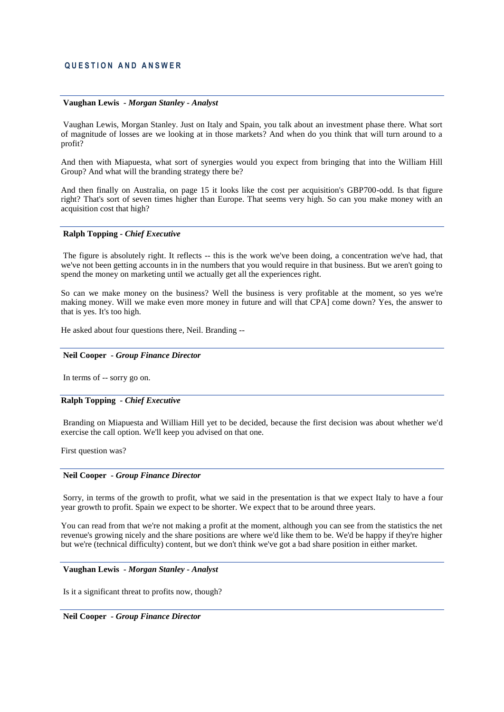#### **Vaughan Lewis** *- Morgan Stanley - Analyst*

Vaughan Lewis, Morgan Stanley. Just on Italy and Spain, you talk about an investment phase there. What sort of magnitude of losses are we looking at in those markets? And when do you think that will turn around to a profit?

And then with Miapuesta, what sort of synergies would you expect from bringing that into the William Hill Group? And what will the branding strategy there be?

And then finally on Australia, on page 15 it looks like the cost per acquisition's GBP700-odd. Is that figure right? That's sort of seven times higher than Europe. That seems very high. So can you make money with an acquisition cost that high?

#### **Ralph Topping** *- Chief Executive*

The figure is absolutely right. It reflects -- this is the work we've been doing, a concentration we've had, that we've not been getting accounts in in the numbers that you would require in that business. But we aren't going to spend the money on marketing until we actually get all the experiences right.

So can we make money on the business? Well the business is very profitable at the moment, so yes we're making money. Will we make even more money in future and will that CPA] come down? Yes, the answer to that is yes. It's too high.

He asked about four questions there, Neil. Branding --

### **Neil Cooper** *- Group Finance Director*

In terms of -- sorry go on.

# **Ralph Topping** *- Chief Executive*

Branding on Miapuesta and William Hill yet to be decided, because the first decision was about whether we'd exercise the call option. We'll keep you advised on that one.

First question was?

#### **Neil Cooper** *- Group Finance Director*

Sorry, in terms of the growth to profit, what we said in the presentation is that we expect Italy to have a four year growth to profit. Spain we expect to be shorter. We expect that to be around three years.

You can read from that we're not making a profit at the moment, although you can see from the statistics the net revenue's growing nicely and the share positions are where we'd like them to be. We'd be happy if they're higher but we're (technical difficulty) content, but we don't think we've got a bad share position in either market.

# **Vaughan Lewis** *- Morgan Stanley - Analyst*

Is it a significant threat to profits now, though?

#### **Neil Cooper** *- Group Finance Director*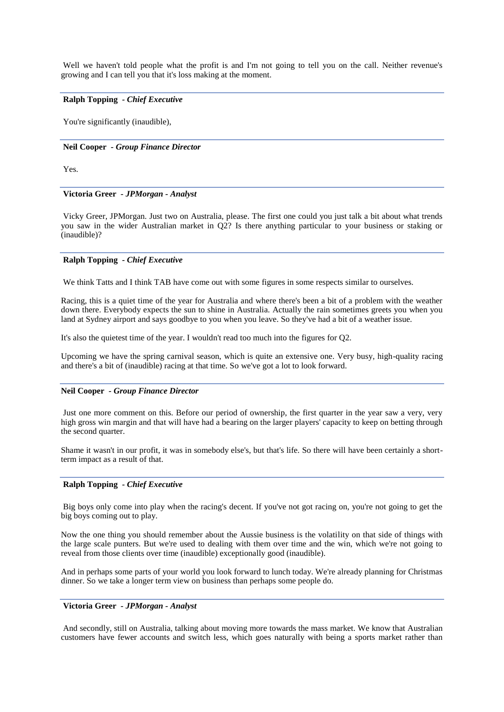Well we haven't told people what the profit is and I'm not going to tell you on the call. Neither revenue's growing and I can tell you that it's loss making at the moment.

### **Ralph Topping** *- Chief Executive*

You're significantly (inaudible),

### **Neil Cooper** *- Group Finance Director*

Yes.

# **Victoria Greer** *- JPMorgan - Analyst*

Vicky Greer, JPMorgan. Just two on Australia, please. The first one could you just talk a bit about what trends you saw in the wider Australian market in Q2? Is there anything particular to your business or staking or (inaudible)?

# **Ralph Topping** *- Chief Executive*

We think Tatts and I think TAB have come out with some figures in some respects similar to ourselves.

Racing, this is a quiet time of the year for Australia and where there's been a bit of a problem with the weather down there. Everybody expects the sun to shine in Australia. Actually the rain sometimes greets you when you land at Sydney airport and says goodbye to you when you leave. So they've had a bit of a weather issue.

It's also the quietest time of the year. I wouldn't read too much into the figures for Q2.

Upcoming we have the spring carnival season, which is quite an extensive one. Very busy, high-quality racing and there's a bit of (inaudible) racing at that time. So we've got a lot to look forward.

#### **Neil Cooper** *- Group Finance Director*

Just one more comment on this. Before our period of ownership, the first quarter in the year saw a very, very high gross win margin and that will have had a bearing on the larger players' capacity to keep on betting through the second quarter.

Shame it wasn't in our profit, it was in somebody else's, but that's life. So there will have been certainly a shortterm impact as a result of that.

#### **Ralph Topping** *- Chief Executive*

Big boys only come into play when the racing's decent. If you've not got racing on, you're not going to get the big boys coming out to play.

Now the one thing you should remember about the Aussie business is the volatility on that side of things with the large scale punters. But we're used to dealing with them over time and the win, which we're not going to reveal from those clients over time (inaudible) exceptionally good (inaudible).

And in perhaps some parts of your world you look forward to lunch today. We're already planning for Christmas dinner. So we take a longer term view on business than perhaps some people do.

# **Victoria Greer** *- JPMorgan - Analyst*

And secondly, still on Australia, talking about moving more towards the mass market. We know that Australian customers have fewer accounts and switch less, which goes naturally with being a sports market rather than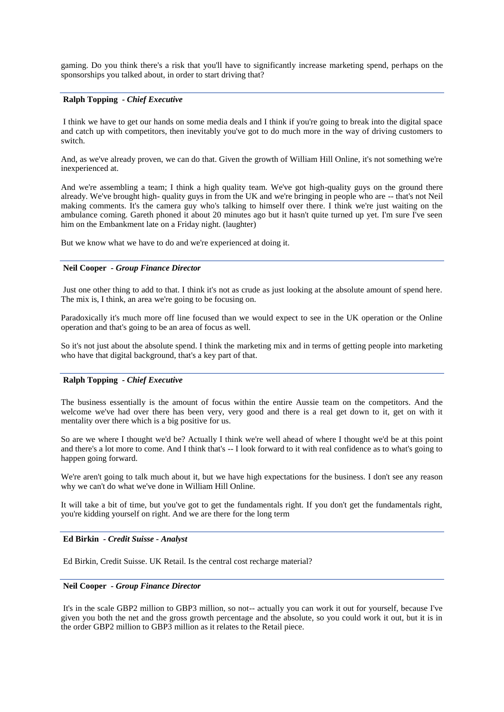gaming. Do you think there's a risk that you'll have to significantly increase marketing spend, perhaps on the sponsorships you talked about, in order to start driving that?

# **Ralph Topping** *- Chief Executive*

I think we have to get our hands on some media deals and I think if you're going to break into the digital space and catch up with competitors, then inevitably you've got to do much more in the way of driving customers to switch.

And, as we've already proven, we can do that. Given the growth of William Hill Online, it's not something we're inexperienced at.

And we're assembling a team; I think a high quality team. We've got high-quality guys on the ground there already. We've brought high- quality guys in from the UK and we're bringing in people who are -- that's not Neil making comments. It's the camera guy who's talking to himself over there. I think we're just waiting on the ambulance coming. Gareth phoned it about 20 minutes ago but it hasn't quite turned up yet. I'm sure I've seen him on the Embankment late on a Friday night. (laughter)

But we know what we have to do and we're experienced at doing it.

#### **Neil Cooper** *- Group Finance Director*

Just one other thing to add to that. I think it's not as crude as just looking at the absolute amount of spend here. The mix is, I think, an area we're going to be focusing on.

Paradoxically it's much more off line focused than we would expect to see in the UK operation or the Online operation and that's going to be an area of focus as well.

So it's not just about the absolute spend. I think the marketing mix and in terms of getting people into marketing who have that digital background, that's a key part of that.

# **Ralph Topping** *- Chief Executive*

The business essentially is the amount of focus within the entire Aussie team on the competitors. And the welcome we've had over there has been very, very good and there is a real get down to it, get on with it mentality over there which is a big positive for us.

So are we where I thought we'd be? Actually I think we're well ahead of where I thought we'd be at this point and there's a lot more to come. And I think that's -- I look forward to it with real confidence as to what's going to happen going forward.

We're aren't going to talk much about it, but we have high expectations for the business. I don't see any reason why we can't do what we've done in William Hill Online.

It will take a bit of time, but you've got to get the fundamentals right. If you don't get the fundamentals right, you're kidding yourself on right. And we are there for the long term

#### **Ed Birkin** *- Credit Suisse - Analyst*

Ed Birkin, Credit Suisse. UK Retail. Is the central cost recharge material?

# **Neil Cooper** *- Group Finance Director*

It's in the scale GBP2 million to GBP3 million, so not-- actually you can work it out for yourself, because I've given you both the net and the gross growth percentage and the absolute, so you could work it out, but it is in the order GBP2 million to GBP3 million as it relates to the Retail piece.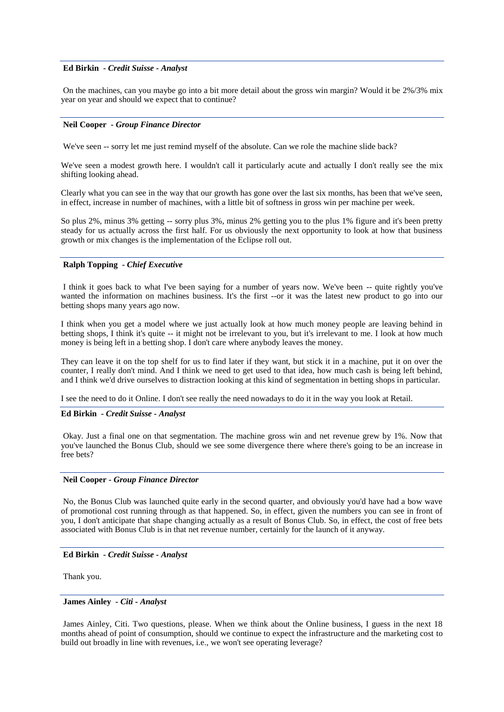# **Ed Birkin** *- Credit Suisse - Analyst*

On the machines, can you maybe go into a bit more detail about the gross win margin? Would it be 2%/3% mix year on year and should we expect that to continue?

#### **Neil Cooper** *- Group Finance Director*

We've seen -- sorry let me just remind myself of the absolute. Can we role the machine slide back?

We've seen a modest growth here. I wouldn't call it particularly acute and actually I don't really see the mix shifting looking ahead.

Clearly what you can see in the way that our growth has gone over the last six months, has been that we've seen, in effect, increase in number of machines, with a little bit of softness in gross win per machine per week.

So plus 2%, minus 3% getting -- sorry plus 3%, minus 2% getting you to the plus 1% figure and it's been pretty steady for us actually across the first half. For us obviously the next opportunity to look at how that business growth or mix changes is the implementation of the Eclipse roll out.

# **Ralph Topping** *- Chief Executive*

I think it goes back to what I've been saying for a number of years now. We've been -- quite rightly you've wanted the information on machines business. It's the first --or it was the latest new product to go into our betting shops many years ago now.

I think when you get a model where we just actually look at how much money people are leaving behind in betting shops, I think it's quite -- it might not be irrelevant to you, but it's irrelevant to me. I look at how much money is being left in a betting shop. I don't care where anybody leaves the money.

They can leave it on the top shelf for us to find later if they want, but stick it in a machine, put it on over the counter, I really don't mind. And I think we need to get used to that idea, how much cash is being left behind, and I think we'd drive ourselves to distraction looking at this kind of segmentation in betting shops in particular.

I see the need to do it Online. I don't see really the need nowadays to do it in the way you look at Retail.

#### **Ed Birkin** *- Credit Suisse - Analyst*

Okay. Just a final one on that segmentation. The machine gross win and net revenue grew by 1%. Now that you've launched the Bonus Club, should we see some divergence there where there's going to be an increase in free bets?

# **Neil Cooper** *- Group Finance Director*

No, the Bonus Club was launched quite early in the second quarter, and obviously you'd have had a bow wave of promotional cost running through as that happened. So, in effect, given the numbers you can see in front of you, I don't anticipate that shape changing actually as a result of Bonus Club. So, in effect, the cost of free bets associated with Bonus Club is in that net revenue number, certainly for the launch of it anyway.

#### **Ed Birkin** *- Credit Suisse - Analyst*

Thank you.

# **James Ainley** *- Citi - Analyst*

James Ainley, Citi. Two questions, please. When we think about the Online business, I guess in the next 18 months ahead of point of consumption, should we continue to expect the infrastructure and the marketing cost to build out broadly in line with revenues, i.e., we won't see operating leverage?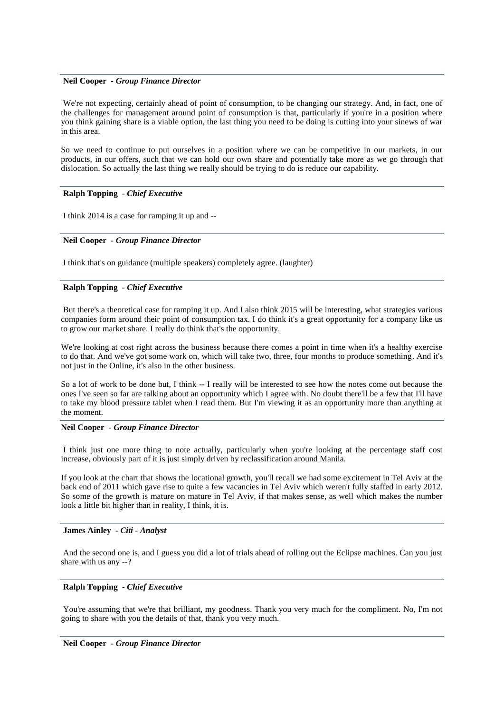# **Neil Cooper** *- Group Finance Director*

We're not expecting, certainly ahead of point of consumption, to be changing our strategy. And, in fact, one of the challenges for management around point of consumption is that, particularly if you're in a position where you think gaining share is a viable option, the last thing you need to be doing is cutting into your sinews of war in this area.

So we need to continue to put ourselves in a position where we can be competitive in our markets, in our products, in our offers, such that we can hold our own share and potentially take more as we go through that dislocation. So actually the last thing we really should be trying to do is reduce our capability.

# **Ralph Topping** *- Chief Executive*

I think 2014 is a case for ramping it up and --

### **Neil Cooper** *- Group Finance Director*

I think that's on guidance (multiple speakers) completely agree. (laughter)

# **Ralph Topping** *- Chief Executive*

But there's a theoretical case for ramping it up. And I also think 2015 will be interesting, what strategies various companies form around their point of consumption tax. I do think it's a great opportunity for a company like us to grow our market share. I really do think that's the opportunity.

We're looking at cost right across the business because there comes a point in time when it's a healthy exercise to do that. And we've got some work on, which will take two, three, four months to produce something. And it's not just in the Online, it's also in the other business.

So a lot of work to be done but, I think -- I really will be interested to see how the notes come out because the ones I've seen so far are talking about an opportunity which I agree with. No doubt there'll be a few that I'll have to take my blood pressure tablet when I read them. But I'm viewing it as an opportunity more than anything at the moment.

#### **Neil Cooper** *- Group Finance Director*

I think just one more thing to note actually, particularly when you're looking at the percentage staff cost increase, obviously part of it is just simply driven by reclassification around Manila.

If you look at the chart that shows the locational growth, you'll recall we had some excitement in Tel Aviv at the back end of 2011 which gave rise to quite a few vacancies in Tel Aviv which weren't fully staffed in early 2012. So some of the growth is mature on mature in Tel Aviv, if that makes sense, as well which makes the number look a little bit higher than in reality, I think, it is.

#### **James Ainley** *- Citi - Analyst*

And the second one is, and I guess you did a lot of trials ahead of rolling out the Eclipse machines. Can you just share with us any --?

# **Ralph Topping** *- Chief Executive*

You're assuming that we're that brilliant, my goodness. Thank you very much for the compliment. No, I'm not going to share with you the details of that, thank you very much.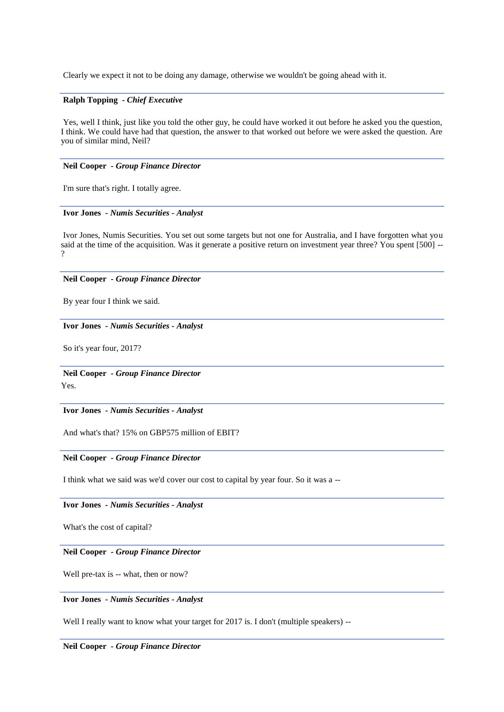Clearly we expect it not to be doing any damage, otherwise we wouldn't be going ahead with it.

# **Ralph Topping** *- Chief Executive*

Yes, well I think, just like you told the other guy, he could have worked it out before he asked you the question, I think. We could have had that question, the answer to that worked out before we were asked the question. Are you of similar mind, Neil?

# **Neil Cooper** *- Group Finance Director*

I'm sure that's right. I totally agree.

#### **Ivor Jones** *- Numis Securities - Analyst*

Ivor Jones, Numis Securities. You set out some targets but not one for Australia, and I have forgotten what you said at the time of the acquisition. Was it generate a positive return on investment year three? You spent [500] --?

# **Neil Cooper** *- Group Finance Director*

By year four I think we said.

#### **Ivor Jones** *- Numis Securities - Analyst*

So it's year four, 2017?

**Neil Cooper** *- Group Finance Director*  Yes.

**Ivor Jones** *- Numis Securities - Analyst* 

And what's that? 15% on GBP575 million of EBIT?

## **Neil Cooper** *- Group Finance Director*

I think what we said was we'd cover our cost to capital by year four. So it was a --

# **Ivor Jones** *- Numis Securities - Analyst*

What's the cost of capital?

### **Neil Cooper** *- Group Finance Director*

Well pre-tax is -- what, then or now?

# **Ivor Jones** *- Numis Securities - Analyst*

Well I really want to know what your target for 2017 is. I don't (multiple speakers) --

# **Neil Cooper** *- Group Finance Director*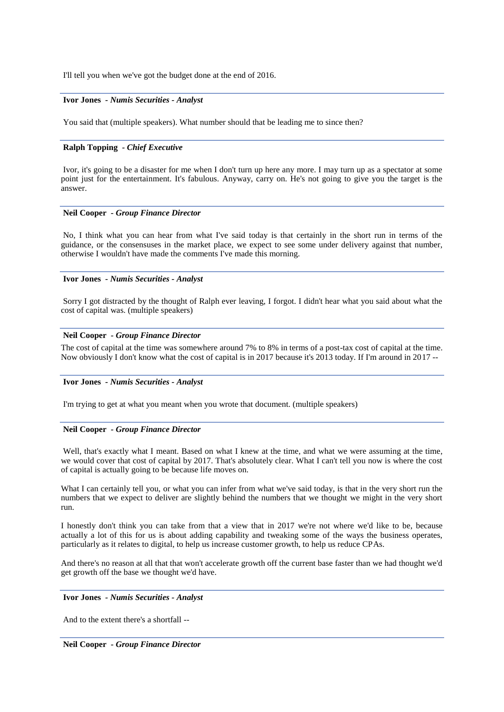I'll tell you when we've got the budget done at the end of 2016.

### **Ivor Jones** *- Numis Securities - Analyst*

You said that (multiple speakers). What number should that be leading me to since then?

# **Ralph Topping** *- Chief Executive*

Ivor, it's going to be a disaster for me when I don't turn up here any more. I may turn up as a spectator at some point just for the entertainment. It's fabulous. Anyway, carry on. He's not going to give you the target is the answer.

#### **Neil Cooper** *- Group Finance Director*

No, I think what you can hear from what I've said today is that certainly in the short run in terms of the guidance, or the consensuses in the market place, we expect to see some under delivery against that number, otherwise I wouldn't have made the comments I've made this morning.

# **Ivor Jones** *- Numis Securities - Analyst*

Sorry I got distracted by the thought of Ralph ever leaving, I forgot. I didn't hear what you said about what the cost of capital was. (multiple speakers)

#### **Neil Cooper** *- Group Finance Director*

The cost of capital at the time was somewhere around 7% to 8% in terms of a post-tax cost of capital at the time. Now obviously I don't know what the cost of capital is in 2017 because it's 2013 today. If I'm around in 2017 --

#### **Ivor Jones** *- Numis Securities - Analyst*

I'm trying to get at what you meant when you wrote that document. (multiple speakers)

# **Neil Cooper** *- Group Finance Director*

Well, that's exactly what I meant. Based on what I knew at the time, and what we were assuming at the time, we would cover that cost of capital by 2017. That's absolutely clear. What I can't tell you now is where the cost of capital is actually going to be because life moves on.

What I can certainly tell you, or what you can infer from what we've said today, is that in the very short run the numbers that we expect to deliver are slightly behind the numbers that we thought we might in the very short run.

I honestly don't think you can take from that a view that in 2017 we're not where we'd like to be, because actually a lot of this for us is about adding capability and tweaking some of the ways the business operates, particularly as it relates to digital, to help us increase customer growth, to help us reduce CPAs.

And there's no reason at all that that won't accelerate growth off the current base faster than we had thought we'd get growth off the base we thought we'd have.

#### **Ivor Jones** *- Numis Securities - Analyst*

And to the extent there's a shortfall --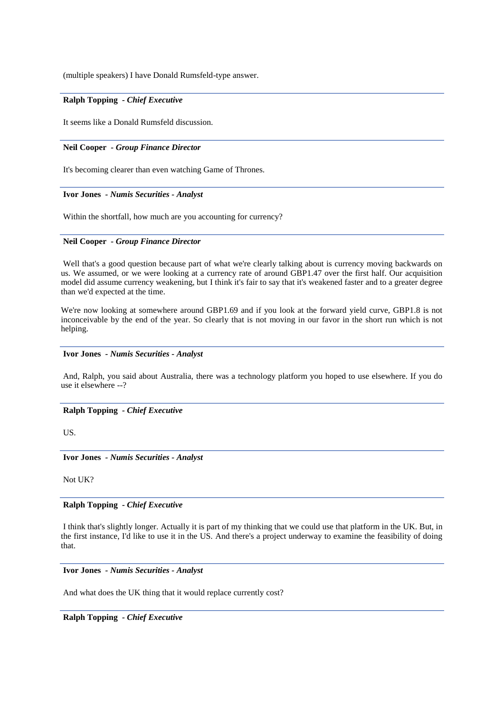(multiple speakers) I have Donald Rumsfeld-type answer.

# **Ralph Topping** *- Chief Executive*

It seems like a Donald Rumsfeld discussion.

### **Neil Cooper** *- Group Finance Director*

It's becoming clearer than even watching Game of Thrones.

#### **Ivor Jones** *- Numis Securities - Analyst*

Within the shortfall, how much are you accounting for currency?

#### **Neil Cooper** *- Group Finance Director*

Well that's a good question because part of what we're clearly talking about is currency moving backwards on us. We assumed, or we were looking at a currency rate of around GBP1.47 over the first half. Our acquisition model did assume currency weakening, but I think it's fair to say that it's weakened faster and to a greater degree than we'd expected at the time.

We're now looking at somewhere around GBP1.69 and if you look at the forward yield curve, GBP1.8 is not inconceivable by the end of the year. So clearly that is not moving in our favor in the short run which is not helping.

#### **Ivor Jones** *- Numis Securities - Analyst*

And, Ralph, you said about Australia, there was a technology platform you hoped to use elsewhere. If you do use it elsewhere --?

#### **Ralph Topping** *- Chief Executive*

US.

**Ivor Jones** *- Numis Securities - Analyst* 

Not UK?

# **Ralph Topping** *- Chief Executive*

I think that's slightly longer. Actually it is part of my thinking that we could use that platform in the UK. But, in the first instance, I'd like to use it in the US. And there's a project underway to examine the feasibility of doing that.

# **Ivor Jones** *- Numis Securities - Analyst*

And what does the UK thing that it would replace currently cost?

# **Ralph Topping** *- Chief Executive*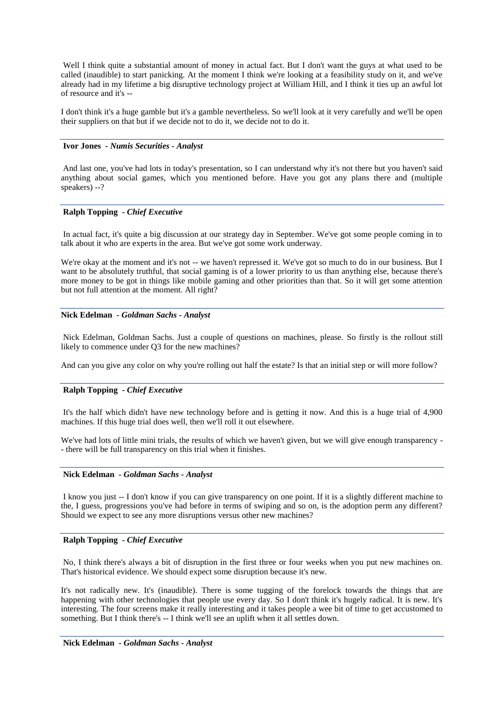Well I think quite a substantial amount of money in actual fact. But I don't want the guys at what used to be called (inaudible) to start panicking. At the moment I think we're looking at a feasibility study on it, and we've already had in my lifetime a big disruptive technology project at William Hill, and I think it ties up an awful lot of resource and it's --

I don't think it's a huge gamble but it's a gamble nevertheless. So we'll look at it very carefully and we'll be open their suppliers on that but if we decide not to do it, we decide not to do it.

### **Ivor Jones** *- Numis Securities - Analyst*

And last one, you've had lots in today's presentation, so I can understand why it's not there but you haven't said anything about social games, which you mentioned before. Have you got any plans there and (multiple speakers) --?

# **Ralph Topping** *- Chief Executive*

In actual fact, it's quite a big discussion at our strategy day in September. We've got some people coming in to talk about it who are experts in the area. But we've got some work underway.

We're okay at the moment and it's not -- we haven't repressed it. We've got so much to do in our business. But I want to be absolutely truthful, that social gaming is of a lower priority to us than anything else, because there's more money to be got in things like mobile gaming and other priorities than that. So it will get some attention but not full attention at the moment. All right?

#### **Nick Edelman** *- Goldman Sachs - Analyst*

Nick Edelman, Goldman Sachs. Just a couple of questions on machines, please. So firstly is the rollout still likely to commence under O3 for the new machines?

And can you give any color on why you're rolling out half the estate? Is that an initial step or will more follow?

#### **Ralph Topping** *- Chief Executive*

It's the half which didn't have new technology before and is getting it now. And this is a huge trial of 4,900 machines. If this huge trial does well, then we'll roll it out elsewhere.

We've had lots of little mini trials, the results of which we haven't given, but we will give enough transparency -- there will be full transparency on this trial when it finishes.

#### **Nick Edelman** *- Goldman Sachs - Analyst*

I know you just -- I don't know if you can give transparency on one point. If it is a slightly different machine to the, I guess, progressions you've had before in terms of swiping and so on, is the adoption perm any different? Should we expect to see any more disruptions versus other new machines?

#### **Ralph Topping** *- Chief Executive*

No, I think there's always a bit of disruption in the first three or four weeks when you put new machines on. That's historical evidence. We should expect some disruption because it's new.

It's not radically new. It's (inaudible). There is some tugging of the forelock towards the things that are happening with other technologies that people use every day. So I don't think it's hugely radical. It is new. It's interesting. The four screens make it really interesting and it takes people a wee bit of time to get accustomed to something. But I think there's -- I think we'll see an uplift when it all settles down.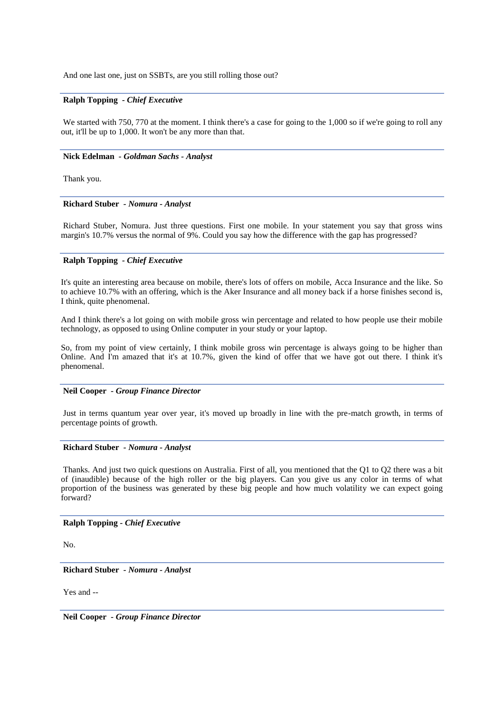And one last one, just on SSBTs, are you still rolling those out?

# **Ralph Topping** *- Chief Executive*

We started with 750, 770 at the moment. I think there's a case for going to the 1,000 so if we're going to roll any out, it'll be up to 1,000. It won't be any more than that.

#### **Nick Edelman** *- Goldman Sachs - Analyst*

Thank you.

#### **Richard Stuber** *- Nomura - Analyst*

Richard Stuber, Nomura. Just three questions. First one mobile. In your statement you say that gross wins margin's 10.7% versus the normal of 9%. Could you say how the difference with the gap has progressed?

### **Ralph Topping** *- Chief Executive*

It's quite an interesting area because on mobile, there's lots of offers on mobile, Acca Insurance and the like. So to achieve 10.7% with an offering, which is the Aker Insurance and all money back if a horse finishes second is, I think, quite phenomenal.

And I think there's a lot going on with mobile gross win percentage and related to how people use their mobile technology, as opposed to using Online computer in your study or your laptop.

So, from my point of view certainly, I think mobile gross win percentage is always going to be higher than Online. And I'm amazed that it's at 10.7%, given the kind of offer that we have got out there. I think it's phenomenal.

#### **Neil Cooper** *- Group Finance Director*

Just in terms quantum year over year, it's moved up broadly in line with the pre-match growth, in terms of percentage points of growth.

### **Richard Stuber** *- Nomura - Analyst*

Thanks. And just two quick questions on Australia. First of all, you mentioned that the Q1 to Q2 there was a bit of (inaudible) because of the high roller or the big players. Can you give us any color in terms of what proportion of the business was generated by these big people and how much volatility we can expect going forward?

# **Ralph Topping** *- Chief Executive*

No.

**Richard Stuber** *- Nomura - Analyst* 

Yes and --

**Neil Cooper** *- Group Finance Director*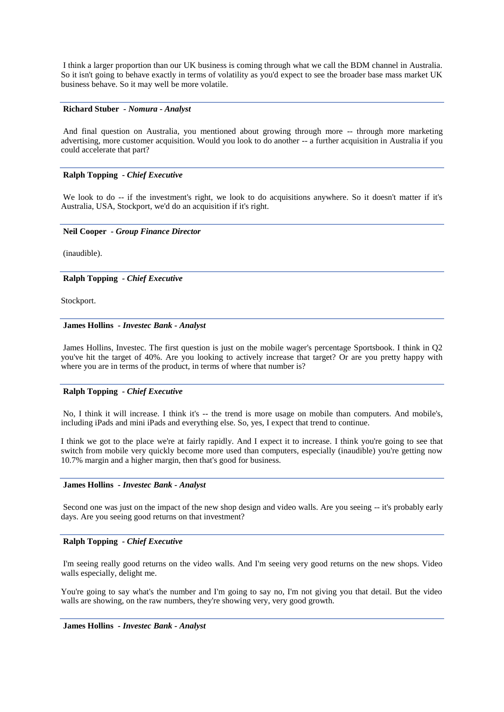I think a larger proportion than our UK business is coming through what we call the BDM channel in Australia. So it isn't going to behave exactly in terms of volatility as you'd expect to see the broader base mass market UK business behave. So it may well be more volatile.

# **Richard Stuber** *- Nomura - Analyst*

And final question on Australia, you mentioned about growing through more -- through more marketing advertising, more customer acquisition. Would you look to do another -- a further acquisition in Australia if you could accelerate that part?

# **Ralph Topping** *- Chief Executive*

We look to do -- if the investment's right, we look to do acquisitions anywhere. So it doesn't matter if it's Australia, USA, Stockport, we'd do an acquisition if it's right.

# **Neil Cooper** *- Group Finance Director*

(inaudible).

**Ralph Topping** *- Chief Executive* 

Stockport.

#### **James Hollins** *- Investec Bank - Analyst*

James Hollins, Investec. The first question is just on the mobile wager's percentage Sportsbook. I think in Q2 you've hit the target of 40%. Are you looking to actively increase that target? Or are you pretty happy with where you are in terms of the product, in terms of where that number is?

# **Ralph Topping** *- Chief Executive*

No, I think it will increase. I think it's -- the trend is more usage on mobile than computers. And mobile's, including iPads and mini iPads and everything else. So, yes, I expect that trend to continue.

I think we got to the place we're at fairly rapidly. And I expect it to increase. I think you're going to see that switch from mobile very quickly become more used than computers, especially (inaudible) you're getting now 10.7% margin and a higher margin, then that's good for business.

# **James Hollins** *- Investec Bank - Analyst*

Second one was just on the impact of the new shop design and video walls. Are you seeing -- it's probably early days. Are you seeing good returns on that investment?

# **Ralph Topping** *- Chief Executive*

I'm seeing really good returns on the video walls. And I'm seeing very good returns on the new shops. Video walls especially, delight me.

You're going to say what's the number and I'm going to say no, I'm not giving you that detail. But the video walls are showing, on the raw numbers, they're showing very, very good growth.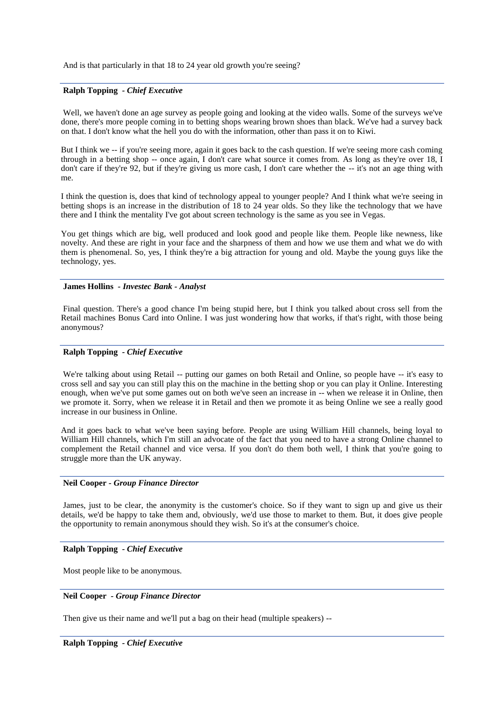And is that particularly in that 18 to 24 year old growth you're seeing?

# **Ralph Topping** *- Chief Executive*

Well, we haven't done an age survey as people going and looking at the video walls. Some of the surveys we've done, there's more people coming in to betting shops wearing brown shoes than black. We've had a survey back on that. I don't know what the hell you do with the information, other than pass it on to Kiwi.

But I think we -- if you're seeing more, again it goes back to the cash question. If we're seeing more cash coming through in a betting shop -- once again, I don't care what source it comes from. As long as they're over 18, I don't care if they're 92, but if they're giving us more cash, I don't care whether the -- it's not an age thing with me.

I think the question is, does that kind of technology appeal to younger people? And I think what we're seeing in betting shops is an increase in the distribution of 18 to 24 year olds. So they like the technology that we have there and I think the mentality I've got about screen technology is the same as you see in Vegas.

You get things which are big, well produced and look good and people like them. People like newness, like novelty. And these are right in your face and the sharpness of them and how we use them and what we do with them is phenomenal. So, yes, I think they're a big attraction for young and old. Maybe the young guys like the technology, yes.

#### **James Hollins** *- Investec Bank - Analyst*

Final question. There's a good chance I'm being stupid here, but I think you talked about cross sell from the Retail machines Bonus Card into Online. I was just wondering how that works, if that's right, with those being anonymous?

# **Ralph Topping** *- Chief Executive*

We're talking about using Retail -- putting our games on both Retail and Online, so people have -- it's easy to cross sell and say you can still play this on the machine in the betting shop or you can play it Online. Interesting enough, when we've put some games out on both we've seen an increase in -- when we release it in Online, then we promote it. Sorry, when we release it in Retail and then we promote it as being Online we see a really good increase in our business in Online.

And it goes back to what we've been saying before. People are using William Hill channels, being loyal to William Hill channels, which I'm still an advocate of the fact that you need to have a strong Online channel to complement the Retail channel and vice versa. If you don't do them both well, I think that you're going to struggle more than the UK anyway.

### **Neil Cooper** *- Group Finance Director*

James, just to be clear, the anonymity is the customer's choice. So if they want to sign up and give us their details, we'd be happy to take them and, obviously, we'd use those to market to them. But, it does give people the opportunity to remain anonymous should they wish. So it's at the consumer's choice.

# **Ralph Topping** *- Chief Executive*

Most people like to be anonymous.

# **Neil Cooper** *- Group Finance Director*

Then give us their name and we'll put a bag on their head (multiple speakers) --